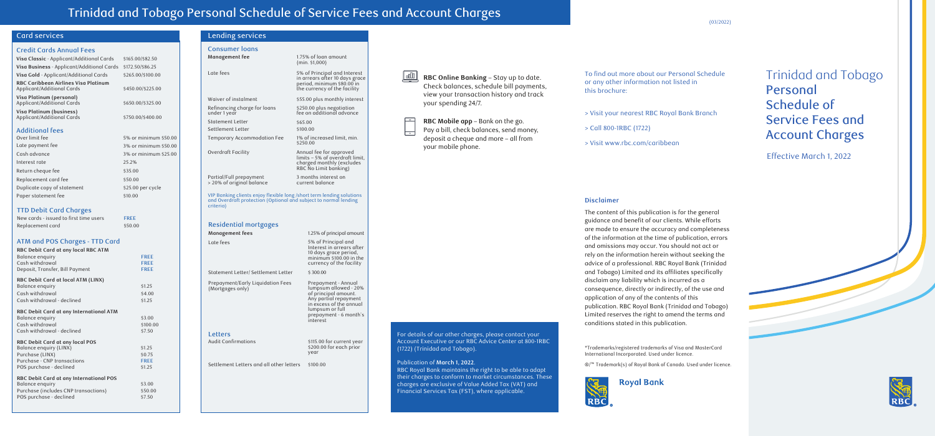#### Card services

| Cash withdrawal - declined              | \$7.50      |
|-----------------------------------------|-------------|
| RBC Debit Card at any local POS         |             |
| Balance enquiry (LINX)                  | \$1.25      |
| Purchase (LINX)                         | \$0.75      |
| Purchase - CNP transactions             | <b>FREE</b> |
| POS purchase - declined                 | \$1.25      |
| RBC Debit Card at any International POS |             |
| Balance enquiry                         | \$3.00      |
| Purchase (includes CNP transactions)    | \$50.00     |
| POS purchase - declined                 | \$7.50      |

| <b>Credit Cards Annual Fees</b>                                    |                       |
|--------------------------------------------------------------------|-----------------------|
| Visa Classic - Applicant/Additional Cards                          | \$165.00/\$82.50      |
| Visa Business - Applicant/Additional Cards                         | \$172.50/\$86.25      |
| Visa Gold - Applicant/Additional Cards                             | \$265.00/\$100.00     |
| RBC Caribbean Airlines Visa Platinum<br>Applicant/Additional Cards | \$450.00/\$225.00     |
| Visa Platinum (personal)<br>Applicant/Additional Cards             | \$650.00/\$325.00     |
| Visa Platinum (business)<br>Applicant/Additional Cards             | \$750.00/\$400.00     |
| <b>Additional fees</b>                                             |                       |
| Over limit fee                                                     | 5% or minimum \$50.00 |
| Late payment fee                                                   | 3% or minimum \$50.00 |
| Cash advance                                                       | 3% or minimum \$25.00 |
| Interest rate                                                      | 25.2%                 |
| Return cheque fee                                                  | \$35.00               |
| Replacement card fee                                               | \$50.00               |
| Duplicate copy of statement                                        | \$25.00 per cycle     |
| Paper statement fee                                                | \$10.00               |
|                                                                    |                       |

#### Statement Letter Settlement Letter Late fees Refinancing charge for loans under 1 year Waiver of instalment \$55.00 plus monthly interest

| $\frac{1}{2}$ . $\frac{1}{2}$ becond can be considered     |             |
|------------------------------------------------------------|-------------|
| New cards - issued to first time users                     | <b>FREE</b> |
| Replacement card                                           | \$50.00     |
|                                                            |             |
| ATM and POS Charges - TTD Card                             |             |
| RBC Debit Card at any local RBC ATM                        |             |
| Balance enquiry                                            | <b>FREE</b> |
| Cash withdrawal                                            | <b>FREE</b> |
| Deposit, Transfer, Bill Payment                            | <b>FREE</b> |
| RBC Debit Card at local ATM (LINX)                         |             |
| Balance enquiry                                            | \$1.25      |
| Cash withdrawal                                            | \$4.00      |
| Cash withdrawal - declined                                 | \$1.25      |
|                                                            |             |
| RBC Debit Card at any International ATM<br>Balance enquiry | \$3.00      |
|                                                            |             |
| Cash withdrawal                                            | \$100.00    |

#### TTD Debit Card Charges

Audit Confirmations  $$115.00$  for current year \$200.00 for each prior year

### **Management fee**

5% of Principal and Interest in arrears after 10 days grace period, minimum \$80.00 in the currency of the facility

\$250.00 plus negotiation fee on additional advance

\$65.00 \$100.00

Overdraft Facility

Temporary Accommodation Fee

Annual fee for approved limits – 5% of overdraft limit, charged monthly (excludes RBC No Limit banking)

1% of increased limit, min.

\$250.00

1.75% of loan amount (min. \$1,000)

#### Consumer loans

#### Lending services

VIP Banking clients enjoy flexible long /short term lending solutions and Overdraft protection (Optional and subject to normal lending criteria)

3 months interest on current balance

### Partial/Full prepayment > 20% of original balance

#### Letters

Reside

| Residential mortgages                                 |                                                                                                                                                                                   |
|-------------------------------------------------------|-----------------------------------------------------------------------------------------------------------------------------------------------------------------------------------|
| Management fees                                       | 1.25% of principal amount                                                                                                                                                         |
| Late fees                                             | 5% of Principal and<br>Interest in arrears after<br>10 days grace period,<br>$minimum$ \$100.00 in the<br>currency of the facility                                                |
| Statement Letter/ Settlement Letter                   | \$300.00                                                                                                                                                                          |
| Prepayment/Early Liquidation Fees<br>(Mortgages only) | Prepayment - Annual<br>lumpsum allowed - 20%<br>of principal amount.<br>Any partial repayment<br>in excess of the annual<br>lumpsum or full<br>prepayment - 6 month's<br>interest |

To find out more about our Personal Schedule or any other information not listed in

# this brochure:

> Visit your nearest RBC Royal Bank Branch

- 
- > Call 800-1RBC (1722)
- > Visit www.rbc.com/caribbean

For details of our other charges, please contact your Account Executive or our RBC Advice Center at 800-1RBC

(1722) (Trinidad and Tobago). Publication of **March 1, 2022**.

Settlement Letters and all other letters \$100.00

### <u>|olii</u>

 $\overline{\phantom{a}}$ 

RBC Royal Bank maintains the right to be able to adapt their charges to conform to market circumstances. These charges are exclusive of Value Added Tax (VAT) and Financial Services Tax (FST), where applicable.

**RBC Online Banking** – Stay up to date. Check balances, schedule bill payments, view your transaction history and track your spending 24/7.

**RBC Mobile app** – Bank on the go. Pay a bill, check balances, send money, deposit a cheque and more – all from your mobile phone.

> The content of this publication is for the general guidance and benefit of our clients. While efforts are made to ensure the accuracy and completeness of the information at the time of publication, errors and omissions may occur. You should not act or rely on the information herein without seeking the advice of a professional. RBC Royal Bank (Trinidad and Tobago) Limited and its affiliates specifically disclaim any liability which is incurred as a consequence, directly or indirectly, of the use and application of any of the contents of this publication. RBC Royal Bank (Trinidad and Tobago) Limited reserves the right to amend the terms and conditions stated in this publication.

#### **Disclaimer**

\*Trademarks/registered trademarks of Visa and MasterCard International Incorporated. Used under licence.



®/™ Trademark(s) of Royal Bank of Canada. Used under licence.

**Royal Bank** 



### Trinidad and Tobago Personal Schedule of Service Fees and Account Charges

Effective March 1, 2022

### Trinidad and Tobago Personal Schedule of Service Fees and Account Charges